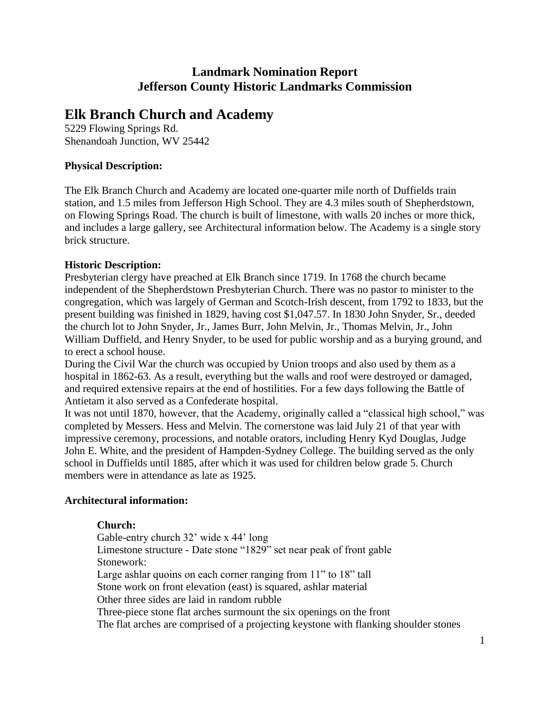## **Landmark Nomination Report Jefferson County Historic Landmarks Commission**

# **Elk Branch Church and Academy**

5229 Flowing Springs Rd. Shenandoah Junction, WV 25442

## **Physical Description:**

The Elk Branch Church and Academy are located one-quarter mile north of Duffields train station, and 1.5 miles from Jefferson High School. They are 4.3 miles south of Shepherdstown, on Flowing Springs Road. The church is built of limestone, with walls 20 inches or more thick, and includes a large gallery, see Architectural information below. The Academy is a single story brick structure.

## **Historic Description:**

Presbyterian clergy have preached at Elk Branch since 1719. In 1768 the church became independent of the Shepherdstown Presbyterian Church. There was no pastor to minister to the congregation, which was largely of German and Scotch-Irish descent, from 1792 to 1833, but the present building was finished in 1829, having cost \$1,047.57. In 1830 John Snyder, Sr., deeded the church lot to John Snyder, Jr., James Burr, John Melvin, Jr., Thomas Melvin, Jr., John William Duffield, and Henry Snyder, to be used for public worship and as a burying ground, and to erect a school house.

During the Civil War the church was occupied by Union troops and also used by them as a hospital in 1862-63. As a result, everything but the walls and roof were destroyed or damaged, and required extensive repairs at the end of hostilities. For a few days following the Battle of Antietam it also served as a Confederate hospital.

It was not until 1870, however, that the Academy, originally called a "classical high school," was completed by Messers. Hess and Melvin. The cornerstone was laid July 21 of that year with impressive ceremony, processions, and notable orators, including Henry Kyd Douglas, Judge John E. White, and the president of Hampden-Sydney College. The building served as the only school in Duffields until 1885, after which it was used for children below grade 5. Church members were in attendance as late as 1925.

## **Architectural information:**

### **Church:**

Gable-entry church 32' wide x 44' long Limestone structure - Date stone "1829" set near peak of front gable Stonework: Large ashlar quoins on each corner ranging from 11" to 18" tall Stone work on front elevation (east) is squared, ashlar material Other three sides are laid in random rubble Three-piece stone flat arches surmount the six openings on the front The flat arches are comprised of a projecting keystone with flanking shoulder stones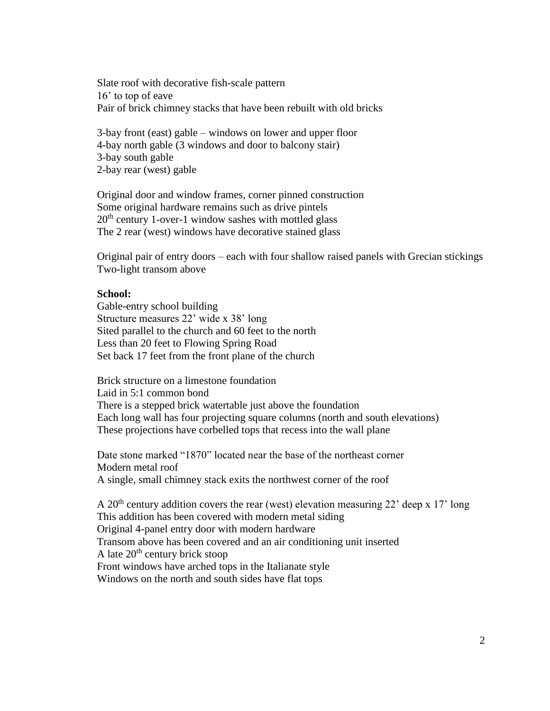Slate roof with decorative fish-scale pattern 16' to top of eave Pair of brick chimney stacks that have been rebuilt with old bricks

3-bay front (east) gable – windows on lower and upper floor 4-bay north gable (3 windows and door to balcony stair) 3-bay south gable 2-bay rear (west) gable

Original door and window frames, corner pinned construction Some original hardware remains such as drive pintels  $20<sup>th</sup>$  century 1-over-1 window sashes with mottled glass The 2 rear (west) windows have decorative stained glass

Original pair of entry doors – each with four shallow raised panels with Grecian stickings Two-light transom above

#### **School:**

Gable-entry school building Structure measures 22' wide x 38' long Sited parallel to the church and 60 feet to the north Less than 20 feet to Flowing Spring Road Set back 17 feet from the front plane of the church

Brick structure on a limestone foundation Laid in 5:1 common bond There is a stepped brick watertable just above the foundation Each long wall has four projecting square columns (north and south elevations) These projections have corbelled tops that recess into the wall plane

Date stone marked "1870" located near the base of the northeast corner Modern metal roof A single, small chimney stack exits the northwest corner of the roof

A 20<sup>th</sup> century addition covers the rear (west) elevation measuring 22<sup>'</sup> deep x 17' long This addition has been covered with modern metal siding Original 4-panel entry door with modern hardware Transom above has been covered and an air conditioning unit inserted A late  $20<sup>th</sup>$  century brick stoop Front windows have arched tops in the Italianate style Windows on the north and south sides have flat tops